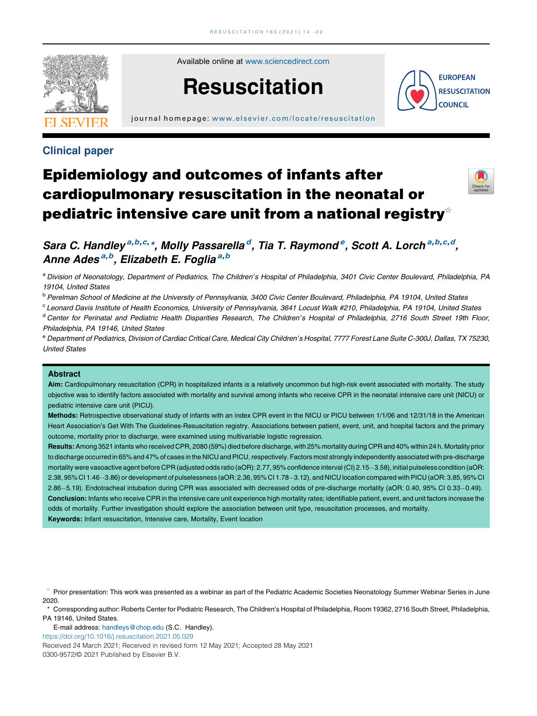

Available online at [www.sciencedirect.com](http://www.sciencedirect.com/science/journal/03009572)

# **Resuscitation**

**EUROPEAN RESUSCITATION COUNCIL** 

journal homepage: [www.elsevier.com/locate/resus c](www.elsevier.com/locate/resuscitation) itation

### Clinical paper

## Epidemiology and outcomes of infants after cardiopulmonary resuscitation in the neonatal or pediatric intensive care unit from a national registry\*



Sara C. Handley<sup>a,b,c,\*</sup>, Molly Passarella<sup>d</sup>, Tia T. Raymond<sup>e</sup>, Scott A. Lorch<sup>a,b,c,d</sup>, Anne Ades<sup>a,b</sup>, Elizabeth E. Foglia<sup>a,b</sup>

a Division of Neonatology, Department of Pediatrics, The Children's Hospital of Philadelphia, 3401 Civic Center Boulevard, Philadelphia, PA 19104, United States

b Perelman School of Medicine at the University of Pennsylvania, 3400 Civic Center Boulevard, Philadelphia, PA 19104, United States

<sup>c</sup> Leonard Davis Institute of Health Economics, University of Pennsylvania, 3641 Locust Walk #210, Philadelphia, PA 19104, United States

<sup>d</sup> Center for Perinatal and Pediatric Health Disparities Research, The Children's Hospital of Philadelphia, 2716 South Street 19th Floor, Philadelphia, PA 19146, United States

e Department of Pediatrics, Division of Cardiac Critical Care, Medical City Children's Hospital, 7777 Forest Lane Suite C-300J, Dallas, TX 75230, United States

#### Abstract

Aim: Cardiopulmonary resuscitation (CPR) in hospitalized infants is a relatively uncommon but high-risk event associated with mortality. The study objective was to identify factors associated with mortality and survival among infants who receive CPR in the neonatal intensive care unit (NICU) or pediatric intensive care unit (PICU).

Methods: Retrospective observational study of infants with an index CPR event in the NICU or PICU between 1/1/06 and 12/31/18 in the American Heart Association's Get With The Guidelines-Resuscitation registry. Associations between patient, event, unit, and hospital factors and the primary outcome, mortality prior to discharge, were examined using multivariable logistic regression.

Results: Among 3521 infants who received CPR, 2080 (59%) died before discharge, with 25% mortality during CPR and 40% within 24 h. Mortality prior to discharge occurred in 65% and 47% of cases in the NICU and PICU,respectively. Factors most strongly independently associated with pre-discharge mortality were vasoactive agent before CPR (adjusted odds ratio (aOR): 2.77, 95% confidence interval (CI) 2.15-3.58), initial pulseless condition (aOR: 2.38, 95% CI 1.46-3.86) or development of pulselessness (aOR: 2.36, 95% CI 1.78-3.12), and NICU location compared with PICU (aOR: 3.85, 95% CI 2.86-5.19). Endotracheal intubation during CPR was associated with decreased odds of pre-discharge mortality (aOR: 0.40, 95% CI 0.33-0.49). Conclusion: Infants who receive CPR in the intensive care unit experience high mortality rates; identifiable patient, event, and unit factors increase the odds of mortality. Further investigation should explore the association between unit type, resuscitation processes, and mortality. Keywords: Infant resuscitation, Intensive care, Mortality, Event location

 $^{\ast}$  Prior presentation: This work was presented as a webinar as part of the Pediatric Academic Societies Neonatology Summer Webinar Series in June 2020.

\* Corresponding author: Roberts Center for Pediatric Research, The Children's Hospital of Philadelphia, Room 19362, 2716 South Street, Philadelphia, PA 19146, United States.

E-mail address: [handleys@chop.edu](mailto:handleys@chop.edu) (S.C. Handley).

<https://doi.org/10.1016/j.resuscitation.2021.05.029>

Received 24 March 2021; Received in revised form 12 May 2021; Accepted 28 May 2021 0300-9572/© 2021 Published by Elsevier B.V.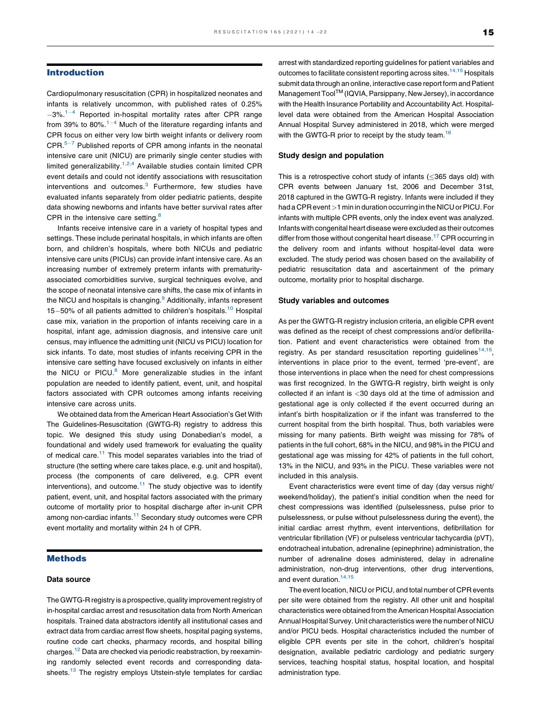#### Introduction

Cardiopulmonary resuscitation (CPR) in hospitalized neonates and infants is relatively uncommon, with published rates of 0.25%  $-3\%$ <sup>1-4</sup> Reported [in-hospital](#page-8-0) mortality rates after CPR range from 39% to 80%.<sup>1–4</sup> Much of the literature [regarding](#page-8-0) infants and CPR focus on either very low birth weight infants or delivery room  $CPR.^{5-7}$  [Published](#page-8-0) reports of CPR among infants in the neonatal intensive care unit (NICU) are primarily single center studies with limited generalizability.<sup>1,2,4</sup> [Available](#page-8-0) studies contain limited CPR event details and could not identify associations with resuscitation interventions and outcomes.<sup>[3](#page-8-0)</sup> Furthermore, few studies have evaluated infants separately from older pediatric patients, despite data showing newborns and infants have better survival rates after CPR in the intensive care setting. $8$ 

Infants receive intensive care in a variety of hospital types and settings. These include perinatal hospitals, in which infants are often born, and children's hospitals, where both NICUs and pediatric intensive care units (PICUs) can provide infant intensive care. As an increasing number of extremely preterm infants with prematurityassociated comorbidities survive, surgical techniques evolve, and the scope of neonatal intensive care shifts, the case mix of infants in the NICU and hospitals is changing.<sup>[9](#page-8-0)</sup> Additionally, infants represent  $15-50\%$  of all patients admitted to children's hospitals.<sup>[10](#page-8-0)</sup> Hospital case mix, variation in the proportion of infants receiving care in a hospital, infant age, admission diagnosis, and intensive care unit census, may influence the admitting unit (NICU vs PICU) location for sick infants. To date, most studies of infants receiving CPR in the intensive care setting have focused exclusively on infants in either the NICU or  $PICU$ .<sup>[8](#page-8-0)</sup> More generalizable studies in the infant population are needed to identify patient, event, unit, and hospital factors associated with CPR outcomes among infants receiving intensive care across units.

We obtained data from the American Heart Association's Get With The Guidelines-Resuscitation (GWTG-R) registry to address this topic. We designed this study using Donabedian's model, a foundational and widely used framework for evaluating the quality of medical care.<sup>[11](#page-8-0)</sup> This model separates variables into the triad of structure (the setting where care takes place, e.g. unit and hospital), process (the components of care delivered, e.g. CPR event interventions), and outcome. $11$  The study objective was to identify patient, event, unit, and hospital factors associated with the primary outcome of mortality prior to hospital discharge after in-unit CPR among non-cardiac infants.<sup>[11](#page-8-0)</sup> Secondary study outcomes were CPR event mortality and mortality within 24 h of CPR.

#### Methods

#### Data source

The GWTG-R registry is a prospective, quality improvement registry of in-hospital cardiac arrest and resuscitation data from North American hospitals. Trained data abstractors identify all institutional cases and extract data from cardiac arrest flow sheets, hospital paging systems, routine code cart checks, pharmacy records, and hospital billing charges[.12](#page-8-0) Data are checked via periodic reabstraction, by reexamining randomly selected event records and corresponding data-sheets.<sup>[13](#page-8-0)</sup> The registry employs Utstein-style templates for cardiac arrest with standardized reporting guidelines for patient variables and outcomes to facilitate consistent reporting across sites.<sup>14,15</sup> [Hospitals](#page-8-0) submit data through an online, interactive case report form and Patient Management Tool™ (IQVIA, Parsippany, New Jersey), in accordance with the Health Insurance Portability and Accountability Act. Hospitallevel data were obtained from the American Hospital Association Annual Hospital Survey administered in 2018, which were merged with the GWTG-R prior to receipt by the study team.<sup>[16](#page-8-0)</sup>

#### Study design and population

This is a retrospective cohort study of infants  $(<$ 365 days old) with CPR events between January 1st, 2006 and December 31st, 2018 captured in the GWTG-R registry. Infants were included if they had a CPR event >1 min in duration occurring in the NICU or PICU. For infants with multiple CPR events, only the index event was analyzed. Infants with congenital heart disease were excluded as their outcomes differ from those without congenital heart disease.<sup>[17](#page-8-0)</sup> CPR occurring in the delivery room and infants without hospital-level data were excluded. The study period was chosen based on the availability of pediatric resuscitation data and ascertainment of the primary outcome, mortality prior to hospital discharge.

#### Study variables and outcomes

As per the GWTG-R registry inclusion criteria, an eligible CPR event was defined as the receipt of chest compressions and/or defibrillation. Patient and event characteristics were obtained from the registry. As per standard resuscitation reporting guidelines<sup>14,15</sup>, interventions in place prior to the event, termed 'pre-event', are those interventions in place when the need for chest compressions was first recognized. In the GWTG-R registry, birth weight is only collected if an infant is <30 days old at the time of admission and gestational age is only collected if the event occurred during an infant's birth hospitalization or if the infant was transferred to the current hospital from the birth hospital. Thus, both variables were missing for many patients. Birth weight was missing for 78% of patients in the full cohort, 68% in the NICU, and 98% in the PICU and gestational age was missing for 42% of patients in the full cohort, 13% in the NICU, and 93% in the PICU. These variables were not included in this analysis.

Event characteristics were event time of day (day versus night/ weekend/holiday), the patient's initial condition when the need for chest compressions was identified (pulselessness, pulse prior to pulselessness, or pulse without pulselessness during the event), the initial cardiac arrest rhythm, event interventions, defibrillation for ventricular fibrillation (VF) or pulseless ventricular tachycardia (pVT), endotracheal intubation, adrenaline (epinephrine) administration, the number of adrenaline doses administered, delay in adrenaline administration, non-drug interventions, other drug interventions, and event duration.<sup>[14,15](#page-8-0)</sup>

The event location, NICU or PICU, and total number of CPR events per site were obtained from the registry. All other unit and hospital characteristics were obtained from the American Hospital Association Annual Hospital Survey. Unit characteristics were the number of NICU and/or PICU beds. Hospital characteristics included the number of eligible CPR events per site in the cohort, children's hospital designation, available pediatric cardiology and pediatric surgery services, teaching hospital status, hospital location, and hospital administration type.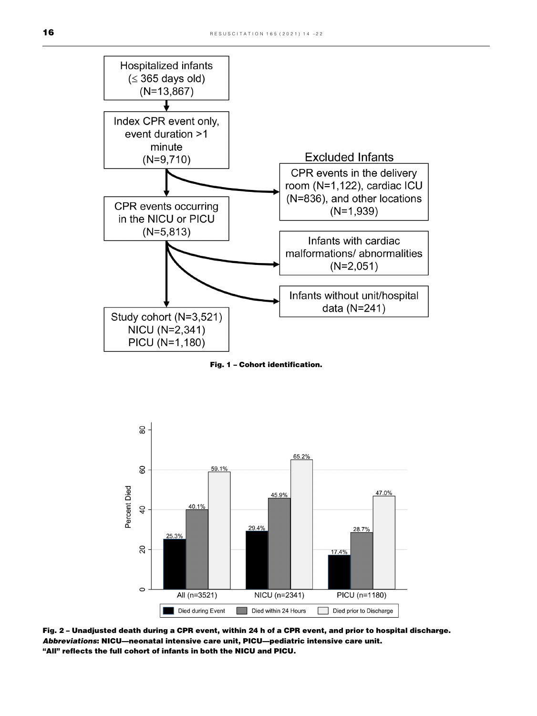<span id="page-2-0"></span>

Fig. 1 – Cohort identification.



Fig. 2 – Unadjusted death during a CPR event, within 24 h of a CPR event, and prior to hospital discharge. Abbreviations: NICU—neonatal intensive care unit, PICU—pediatric intensive care unit. "All" reflects the full cohort of infants in both the NICU and PICU.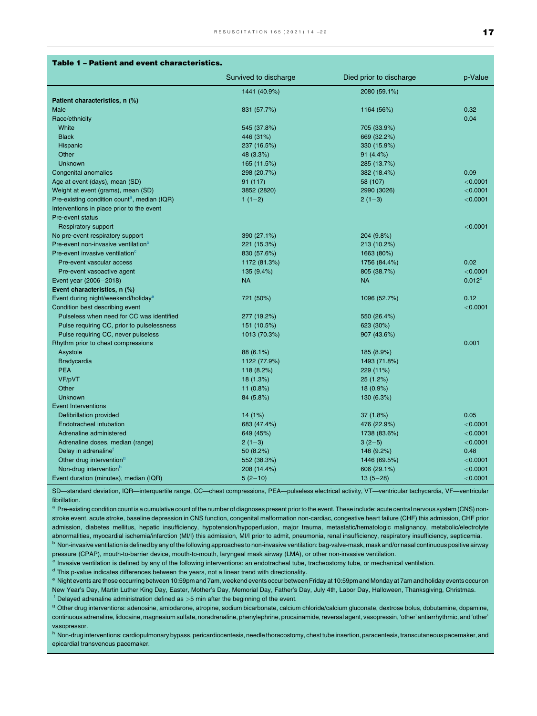<span id="page-3-0"></span>

| <b>Table 1 - Patient and event characteristics.</b>      |                       |                         |            |  |
|----------------------------------------------------------|-----------------------|-------------------------|------------|--|
|                                                          | Survived to discharge | Died prior to discharge | p-Value    |  |
|                                                          | 1441 (40.9%)          | 2080 (59.1%)            |            |  |
| Patient characteristics, n (%)                           |                       |                         |            |  |
| Male                                                     | 831 (57.7%)           | 1164 (56%)              | 0.32       |  |
| Race/ethnicity                                           |                       |                         | 0.04       |  |
| White                                                    | 545 (37.8%)           | 705 (33.9%)             |            |  |
| <b>Black</b>                                             | 446 (31%)             | 669 (32.2%)             |            |  |
| Hispanic                                                 | 237 (16.5%)           | 330 (15.9%)             |            |  |
| Other                                                    | 48 (3.3%)             | 91 (4.4%)               |            |  |
| <b>Unknown</b>                                           | 165 (11.5%)           | 285 (13.7%)             |            |  |
| <b>Congenital anomalies</b>                              | 298 (20.7%)           | 382 (18.4%)             | 0.09       |  |
| Age at event (days), mean (SD)                           | 91 (117)              | 58 (107)                | $<$ 0.0001 |  |
| Weight at event (grams), mean (SD)                       | 3852 (2820)           | 2990 (3026)             | < 0.0001   |  |
| Pre-existing condition count <sup>a</sup> , median (IQR) | $1(1-2)$              | $2(1-3)$                | $<$ 0.0001 |  |
| Interventions in place prior to the event                |                       |                         |            |  |
| Pre-event status                                         |                       |                         |            |  |
| <b>Respiratory support</b>                               |                       |                         | < 0.0001   |  |
| No pre-event respiratory support                         | 390 (27.1%)           | 204 (9.8%)              |            |  |
| Pre-event non-invasive ventilation <sup>b</sup>          | 221 (15.3%)           | 213 (10.2%)             |            |  |
| Pre-event invasive ventilation <sup>c</sup>              | 830 (57.6%)           | 1663 (80%)              |            |  |
| Pre-event vascular access                                | 1172 (81.3%)          | 1756 (84.4%)            | 0.02       |  |
| Pre-event vasoactive agent                               | 135 (9.4%)            | 805 (38.7%)             | < 0.0001   |  |
| Event year (2006-2018)                                   | <b>NA</b>             | <b>NA</b>               | $0.012^d$  |  |
| Event characteristics, n (%)                             |                       |                         |            |  |
| Event during night/weekend/holiday <sup>e</sup>          | 721 (50%)             | 1096 (52.7%)            | 0.12       |  |
| Condition best describing event                          |                       |                         | $<$ 0.0001 |  |
| Pulseless when need for CC was identified                | 277 (19.2%)           | 550 (26.4%)             |            |  |
| Pulse requiring CC, prior to pulselessness               | 151 (10.5%)           | 623 (30%)               |            |  |
| Pulse requiring CC, never pulseless                      | 1013 (70.3%)          | 907 (43.6%)             |            |  |
| Rhythm prior to chest compressions                       |                       |                         | 0.001      |  |
| Asystole                                                 | 88 (6.1%)             | 185 (8.9%)              |            |  |
| Bradycardia                                              | 1122 (77.9%)          | 1493 (71.8%)            |            |  |
| <b>PEA</b>                                               | 118 (8.2%)            | 229 (11%)               |            |  |
| VF/pVT                                                   | 18(1.3%)              | 25 (1.2%)               |            |  |
| Other                                                    | 11 $(0.8\%)$          | 18 (0.9%)               |            |  |
| <b>Unknown</b>                                           | 84 (5.8%)             | 130 (6.3%)              |            |  |
| <b>Event Interventions</b>                               |                       |                         |            |  |
| Defibrillation provided                                  | 14 $(1%)$             | 37 (1.8%)               | 0.05       |  |
| <b>Endotracheal intubation</b>                           | 683 (47.4%)           | 476 (22.9%)             | < 0.0001   |  |
| Adrenaline administered                                  | 649 (45%)             | 1738 (83.6%)            | $<$ 0.0001 |  |
| Adrenaline doses, median (range)                         | $2(1-3)$              | $3(2-5)$                | $<$ 0.0001 |  |
| Delay in adrenaline                                      | 50 (8.2%)             | 148 (9.2%)              | 0.48       |  |
| Other drug intervention <sup>9</sup>                     | 552 (38.3%)           | 1446 (69.5%)            | $<$ 0.0001 |  |
| Non-drug intervention <sup>n</sup>                       | 208 (14.4%)           | 606 (29.1%)             | $<$ 0.0001 |  |
| Event duration (minutes), median (IQR)                   | $5(2-10)$             | $13(5 - 28)$            | < 0.0001   |  |
|                                                          |                       |                         |            |  |

SD—standard deviation, IQR—interquartile range, CC—chest compressions, PEA—pulseless electrical activity, VT—ventricular tachycardia, VF—ventricular fibrillation.

a Pre-existing condition count is a cumulative count of the number of diagnoses present prior to the event. These include: acute central nervous system (CNS) nonstroke event, acute stroke, baseline depression in CNS function, congenital malformation non-cardiac, congestive heart failure (CHF) this admission, CHF prior admission, diabetes mellitus, hepatic insufficiency, hypotension/hypoperfusion, major trauma, metastatic/hematologic malignancy, metabolic/electrolyte abnormalities, myocardial ischemia/infarction (MI/I) this admission, MI/I prior to admit, pneumonia, renal insufficiency, respiratory insufficiency, septicemia.

<sup>b</sup> Non-invasive ventilation is defined by any of the following approaches to non-invasive ventilation: bag-valve-mask, mask and/or nasal continuous positive airway pressure (CPAP), mouth-to-barrier device, mouth-to-mouth, laryngeal mask airway (LMA), or other non-invasive ventilation.

Invasive ventilation is defined by any of the following interventions: an endotracheal tube, tracheostomy tube, or mechanical ventilation.

<sup>d</sup> This p-value indicates differences between the years, not a linear trend with directionality.

<sup>e</sup> Night events are those occurring between 10:59pm and 7am, weekend events occur between Friday at 10:59pm and Monday at 7am and holiday events occur on New Year's Day, Martin Luther King Day, Easter, Mother's Day, Memorial Day, Father's Day, July 4th, Labor Day, Halloween, Thanksgiving, Christmas.

 $<sup>f</sup>$  Delayed adrenaline administration defined as  $>5$  min after the beginning of the event.</sup>

<sup>g</sup> Other drug interventions: adenosine, amiodarone, atropine, sodium bicarbonate, calcium chloride/calcium gluconate, dextrose bolus, dobutamine, dopamine, continuous adrenaline, lidocaine, magnesium sulfate, noradrenaline, phenylephrine, procainamide,reversal agent, vasopressin, 'other' antiarrhythmic, and 'other' vasopressor.

h Non-drug interventions: cardiopulmonary bypass, pericardiocentesis, needle thoracostomy, chest tube insertion, paracentesis, transcutaneous pacemaker, and epicardial transvenous pacemaker.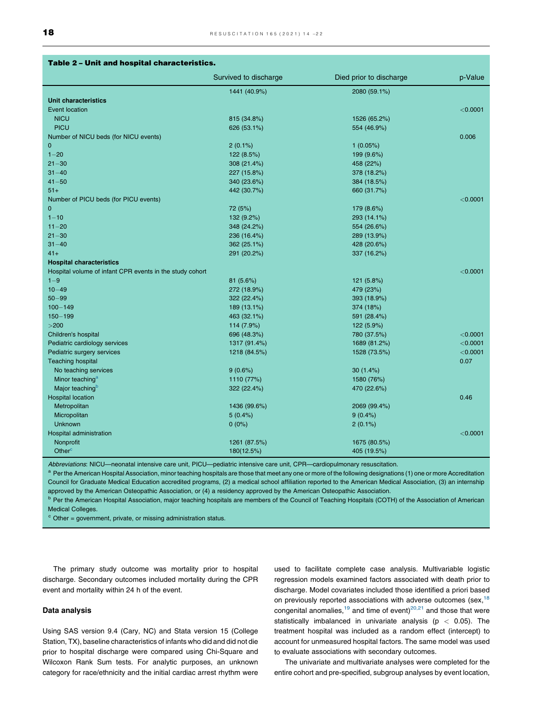<span id="page-4-0"></span>

| p-Value<br>Survived to discharge<br>Died prior to discharge<br>1441 (40.9%)<br>2080 (59.1%)<br><b>Unit characteristics</b><br>Event location<br>${<}0.0001$<br><b>NICU</b><br>815 (34.8%)<br>1526 (65.2%)<br><b>PICU</b><br>626 (53.1%)<br>554 (46.9%)<br>Number of NICU beds (for NICU events)<br>0.006<br>$\mathbf{0}$<br>$2(0.1\%)$<br>1(0.05%)<br>$1 - 20$<br>122(8.5%)<br>199 (9.6%)<br>$21 - 30$<br>308 (21.4%)<br>458 (22%)<br>227 (15.8%)<br>$31 - 40$<br>378 (18.2%)<br>$41 - 50$<br>340 (23.6%)<br>384 (18.5%)<br>$51+$<br>442 (30.7%)<br>660 (31.7%)<br>< 0.0001<br>Number of PICU beds (for PICU events)<br>$\mathbf{0}$<br>72 (5%)<br>179 (8.6%)<br>$1 - 10$<br>132 (9.2%)<br>293 (14.1%)<br>$11 - 20$<br>348 (24.2%)<br>554 (26.6%)<br>$21 - 30$<br>236 (16.4%)<br>289 (13.9%)<br>$31 - 40$<br>362 (25.1%)<br>428 (20.6%)<br>$41+$<br>291 (20.2%)<br>337 (16.2%)<br><b>Hospital characteristics</b><br>< 0.0001<br>Hospital volume of infant CPR events in the study cohort<br>$1 - 9$<br>81 (5.6%)<br>121 (5.8%)<br>$10 - 49$<br>479 (23%)<br>272 (18.9%)<br>$50 - 99$<br>322 (22.4%)<br>393 (18.9%)<br>$100 - 149$<br>189 (13.1%)<br>374 (18%)<br>$150 - 199$<br>463 (32.1%)<br>591 (28.4%)<br>>200<br>114 (7.9%)<br>122 (5.9%)<br>< 0.0001<br>696 (48.3%)<br>780 (37.5%)<br>Children's hospital<br>1689 (81.2%)<br>< 0.0001<br>Pediatric cardiology services<br>1317 (91.4%)<br>1218 (84.5%)<br>1528 (73.5%)<br>< 0.0001<br>Pediatric surgery services<br><b>Teaching hospital</b><br>0.07<br>No teaching services<br>9(0.6%)<br>30(1.4%)<br>Minor teaching <sup>a</sup><br>1580 (76%)<br>1110 (77%)<br>Major teaching <sup>b</sup><br>322 (22.4%)<br>470 (22.6%)<br><b>Hospital location</b><br>0.46<br>Metropolitan<br>1436 (99.6%)<br>2069 (99.4%)<br>Micropolitan<br>$5(0.4\%)$<br>$9(0.4\%)$<br>Unknown<br>$0(0\%)$<br>$2(0.1\%)$<br>< 0.0001<br>Hospital administration<br>Nonprofit<br>1261 (87.5%)<br>1675 (80.5%)<br>Other <sup>c</sup><br>180(12.5%)<br>405 (19.5%) | Table 2 – Unit and nospital characteristics. |  |  |  |  |
|------------------------------------------------------------------------------------------------------------------------------------------------------------------------------------------------------------------------------------------------------------------------------------------------------------------------------------------------------------------------------------------------------------------------------------------------------------------------------------------------------------------------------------------------------------------------------------------------------------------------------------------------------------------------------------------------------------------------------------------------------------------------------------------------------------------------------------------------------------------------------------------------------------------------------------------------------------------------------------------------------------------------------------------------------------------------------------------------------------------------------------------------------------------------------------------------------------------------------------------------------------------------------------------------------------------------------------------------------------------------------------------------------------------------------------------------------------------------------------------------------------------------------------------------------------------------------------------------------------------------------------------------------------------------------------------------------------------------------------------------------------------------------------------------------------------------------------------------------------------------------------------------------------------------------------------------------------------------------------------------|----------------------------------------------|--|--|--|--|
|                                                                                                                                                                                                                                                                                                                                                                                                                                                                                                                                                                                                                                                                                                                                                                                                                                                                                                                                                                                                                                                                                                                                                                                                                                                                                                                                                                                                                                                                                                                                                                                                                                                                                                                                                                                                                                                                                                                                                                                                |                                              |  |  |  |  |
|                                                                                                                                                                                                                                                                                                                                                                                                                                                                                                                                                                                                                                                                                                                                                                                                                                                                                                                                                                                                                                                                                                                                                                                                                                                                                                                                                                                                                                                                                                                                                                                                                                                                                                                                                                                                                                                                                                                                                                                                |                                              |  |  |  |  |
|                                                                                                                                                                                                                                                                                                                                                                                                                                                                                                                                                                                                                                                                                                                                                                                                                                                                                                                                                                                                                                                                                                                                                                                                                                                                                                                                                                                                                                                                                                                                                                                                                                                                                                                                                                                                                                                                                                                                                                                                |                                              |  |  |  |  |
|                                                                                                                                                                                                                                                                                                                                                                                                                                                                                                                                                                                                                                                                                                                                                                                                                                                                                                                                                                                                                                                                                                                                                                                                                                                                                                                                                                                                                                                                                                                                                                                                                                                                                                                                                                                                                                                                                                                                                                                                |                                              |  |  |  |  |
|                                                                                                                                                                                                                                                                                                                                                                                                                                                                                                                                                                                                                                                                                                                                                                                                                                                                                                                                                                                                                                                                                                                                                                                                                                                                                                                                                                                                                                                                                                                                                                                                                                                                                                                                                                                                                                                                                                                                                                                                |                                              |  |  |  |  |
|                                                                                                                                                                                                                                                                                                                                                                                                                                                                                                                                                                                                                                                                                                                                                                                                                                                                                                                                                                                                                                                                                                                                                                                                                                                                                                                                                                                                                                                                                                                                                                                                                                                                                                                                                                                                                                                                                                                                                                                                |                                              |  |  |  |  |
|                                                                                                                                                                                                                                                                                                                                                                                                                                                                                                                                                                                                                                                                                                                                                                                                                                                                                                                                                                                                                                                                                                                                                                                                                                                                                                                                                                                                                                                                                                                                                                                                                                                                                                                                                                                                                                                                                                                                                                                                |                                              |  |  |  |  |
|                                                                                                                                                                                                                                                                                                                                                                                                                                                                                                                                                                                                                                                                                                                                                                                                                                                                                                                                                                                                                                                                                                                                                                                                                                                                                                                                                                                                                                                                                                                                                                                                                                                                                                                                                                                                                                                                                                                                                                                                |                                              |  |  |  |  |
|                                                                                                                                                                                                                                                                                                                                                                                                                                                                                                                                                                                                                                                                                                                                                                                                                                                                                                                                                                                                                                                                                                                                                                                                                                                                                                                                                                                                                                                                                                                                                                                                                                                                                                                                                                                                                                                                                                                                                                                                |                                              |  |  |  |  |
|                                                                                                                                                                                                                                                                                                                                                                                                                                                                                                                                                                                                                                                                                                                                                                                                                                                                                                                                                                                                                                                                                                                                                                                                                                                                                                                                                                                                                                                                                                                                                                                                                                                                                                                                                                                                                                                                                                                                                                                                |                                              |  |  |  |  |
|                                                                                                                                                                                                                                                                                                                                                                                                                                                                                                                                                                                                                                                                                                                                                                                                                                                                                                                                                                                                                                                                                                                                                                                                                                                                                                                                                                                                                                                                                                                                                                                                                                                                                                                                                                                                                                                                                                                                                                                                |                                              |  |  |  |  |
|                                                                                                                                                                                                                                                                                                                                                                                                                                                                                                                                                                                                                                                                                                                                                                                                                                                                                                                                                                                                                                                                                                                                                                                                                                                                                                                                                                                                                                                                                                                                                                                                                                                                                                                                                                                                                                                                                                                                                                                                |                                              |  |  |  |  |
|                                                                                                                                                                                                                                                                                                                                                                                                                                                                                                                                                                                                                                                                                                                                                                                                                                                                                                                                                                                                                                                                                                                                                                                                                                                                                                                                                                                                                                                                                                                                                                                                                                                                                                                                                                                                                                                                                                                                                                                                |                                              |  |  |  |  |
|                                                                                                                                                                                                                                                                                                                                                                                                                                                                                                                                                                                                                                                                                                                                                                                                                                                                                                                                                                                                                                                                                                                                                                                                                                                                                                                                                                                                                                                                                                                                                                                                                                                                                                                                                                                                                                                                                                                                                                                                |                                              |  |  |  |  |
|                                                                                                                                                                                                                                                                                                                                                                                                                                                                                                                                                                                                                                                                                                                                                                                                                                                                                                                                                                                                                                                                                                                                                                                                                                                                                                                                                                                                                                                                                                                                                                                                                                                                                                                                                                                                                                                                                                                                                                                                |                                              |  |  |  |  |
|                                                                                                                                                                                                                                                                                                                                                                                                                                                                                                                                                                                                                                                                                                                                                                                                                                                                                                                                                                                                                                                                                                                                                                                                                                                                                                                                                                                                                                                                                                                                                                                                                                                                                                                                                                                                                                                                                                                                                                                                |                                              |  |  |  |  |
|                                                                                                                                                                                                                                                                                                                                                                                                                                                                                                                                                                                                                                                                                                                                                                                                                                                                                                                                                                                                                                                                                                                                                                                                                                                                                                                                                                                                                                                                                                                                                                                                                                                                                                                                                                                                                                                                                                                                                                                                |                                              |  |  |  |  |
|                                                                                                                                                                                                                                                                                                                                                                                                                                                                                                                                                                                                                                                                                                                                                                                                                                                                                                                                                                                                                                                                                                                                                                                                                                                                                                                                                                                                                                                                                                                                                                                                                                                                                                                                                                                                                                                                                                                                                                                                |                                              |  |  |  |  |
|                                                                                                                                                                                                                                                                                                                                                                                                                                                                                                                                                                                                                                                                                                                                                                                                                                                                                                                                                                                                                                                                                                                                                                                                                                                                                                                                                                                                                                                                                                                                                                                                                                                                                                                                                                                                                                                                                                                                                                                                |                                              |  |  |  |  |
|                                                                                                                                                                                                                                                                                                                                                                                                                                                                                                                                                                                                                                                                                                                                                                                                                                                                                                                                                                                                                                                                                                                                                                                                                                                                                                                                                                                                                                                                                                                                                                                                                                                                                                                                                                                                                                                                                                                                                                                                |                                              |  |  |  |  |
|                                                                                                                                                                                                                                                                                                                                                                                                                                                                                                                                                                                                                                                                                                                                                                                                                                                                                                                                                                                                                                                                                                                                                                                                                                                                                                                                                                                                                                                                                                                                                                                                                                                                                                                                                                                                                                                                                                                                                                                                |                                              |  |  |  |  |
|                                                                                                                                                                                                                                                                                                                                                                                                                                                                                                                                                                                                                                                                                                                                                                                                                                                                                                                                                                                                                                                                                                                                                                                                                                                                                                                                                                                                                                                                                                                                                                                                                                                                                                                                                                                                                                                                                                                                                                                                |                                              |  |  |  |  |
|                                                                                                                                                                                                                                                                                                                                                                                                                                                                                                                                                                                                                                                                                                                                                                                                                                                                                                                                                                                                                                                                                                                                                                                                                                                                                                                                                                                                                                                                                                                                                                                                                                                                                                                                                                                                                                                                                                                                                                                                |                                              |  |  |  |  |
|                                                                                                                                                                                                                                                                                                                                                                                                                                                                                                                                                                                                                                                                                                                                                                                                                                                                                                                                                                                                                                                                                                                                                                                                                                                                                                                                                                                                                                                                                                                                                                                                                                                                                                                                                                                                                                                                                                                                                                                                |                                              |  |  |  |  |
|                                                                                                                                                                                                                                                                                                                                                                                                                                                                                                                                                                                                                                                                                                                                                                                                                                                                                                                                                                                                                                                                                                                                                                                                                                                                                                                                                                                                                                                                                                                                                                                                                                                                                                                                                                                                                                                                                                                                                                                                |                                              |  |  |  |  |
|                                                                                                                                                                                                                                                                                                                                                                                                                                                                                                                                                                                                                                                                                                                                                                                                                                                                                                                                                                                                                                                                                                                                                                                                                                                                                                                                                                                                                                                                                                                                                                                                                                                                                                                                                                                                                                                                                                                                                                                                |                                              |  |  |  |  |
|                                                                                                                                                                                                                                                                                                                                                                                                                                                                                                                                                                                                                                                                                                                                                                                                                                                                                                                                                                                                                                                                                                                                                                                                                                                                                                                                                                                                                                                                                                                                                                                                                                                                                                                                                                                                                                                                                                                                                                                                |                                              |  |  |  |  |
|                                                                                                                                                                                                                                                                                                                                                                                                                                                                                                                                                                                                                                                                                                                                                                                                                                                                                                                                                                                                                                                                                                                                                                                                                                                                                                                                                                                                                                                                                                                                                                                                                                                                                                                                                                                                                                                                                                                                                                                                |                                              |  |  |  |  |
|                                                                                                                                                                                                                                                                                                                                                                                                                                                                                                                                                                                                                                                                                                                                                                                                                                                                                                                                                                                                                                                                                                                                                                                                                                                                                                                                                                                                                                                                                                                                                                                                                                                                                                                                                                                                                                                                                                                                                                                                |                                              |  |  |  |  |
|                                                                                                                                                                                                                                                                                                                                                                                                                                                                                                                                                                                                                                                                                                                                                                                                                                                                                                                                                                                                                                                                                                                                                                                                                                                                                                                                                                                                                                                                                                                                                                                                                                                                                                                                                                                                                                                                                                                                                                                                |                                              |  |  |  |  |
|                                                                                                                                                                                                                                                                                                                                                                                                                                                                                                                                                                                                                                                                                                                                                                                                                                                                                                                                                                                                                                                                                                                                                                                                                                                                                                                                                                                                                                                                                                                                                                                                                                                                                                                                                                                                                                                                                                                                                                                                |                                              |  |  |  |  |
|                                                                                                                                                                                                                                                                                                                                                                                                                                                                                                                                                                                                                                                                                                                                                                                                                                                                                                                                                                                                                                                                                                                                                                                                                                                                                                                                                                                                                                                                                                                                                                                                                                                                                                                                                                                                                                                                                                                                                                                                |                                              |  |  |  |  |
|                                                                                                                                                                                                                                                                                                                                                                                                                                                                                                                                                                                                                                                                                                                                                                                                                                                                                                                                                                                                                                                                                                                                                                                                                                                                                                                                                                                                                                                                                                                                                                                                                                                                                                                                                                                                                                                                                                                                                                                                |                                              |  |  |  |  |
|                                                                                                                                                                                                                                                                                                                                                                                                                                                                                                                                                                                                                                                                                                                                                                                                                                                                                                                                                                                                                                                                                                                                                                                                                                                                                                                                                                                                                                                                                                                                                                                                                                                                                                                                                                                                                                                                                                                                                                                                |                                              |  |  |  |  |
|                                                                                                                                                                                                                                                                                                                                                                                                                                                                                                                                                                                                                                                                                                                                                                                                                                                                                                                                                                                                                                                                                                                                                                                                                                                                                                                                                                                                                                                                                                                                                                                                                                                                                                                                                                                                                                                                                                                                                                                                |                                              |  |  |  |  |
|                                                                                                                                                                                                                                                                                                                                                                                                                                                                                                                                                                                                                                                                                                                                                                                                                                                                                                                                                                                                                                                                                                                                                                                                                                                                                                                                                                                                                                                                                                                                                                                                                                                                                                                                                                                                                                                                                                                                                                                                |                                              |  |  |  |  |
|                                                                                                                                                                                                                                                                                                                                                                                                                                                                                                                                                                                                                                                                                                                                                                                                                                                                                                                                                                                                                                                                                                                                                                                                                                                                                                                                                                                                                                                                                                                                                                                                                                                                                                                                                                                                                                                                                                                                                                                                |                                              |  |  |  |  |
|                                                                                                                                                                                                                                                                                                                                                                                                                                                                                                                                                                                                                                                                                                                                                                                                                                                                                                                                                                                                                                                                                                                                                                                                                                                                                                                                                                                                                                                                                                                                                                                                                                                                                                                                                                                                                                                                                                                                                                                                |                                              |  |  |  |  |
|                                                                                                                                                                                                                                                                                                                                                                                                                                                                                                                                                                                                                                                                                                                                                                                                                                                                                                                                                                                                                                                                                                                                                                                                                                                                                                                                                                                                                                                                                                                                                                                                                                                                                                                                                                                                                                                                                                                                                                                                |                                              |  |  |  |  |
|                                                                                                                                                                                                                                                                                                                                                                                                                                                                                                                                                                                                                                                                                                                                                                                                                                                                                                                                                                                                                                                                                                                                                                                                                                                                                                                                                                                                                                                                                                                                                                                                                                                                                                                                                                                                                                                                                                                                                                                                |                                              |  |  |  |  |
|                                                                                                                                                                                                                                                                                                                                                                                                                                                                                                                                                                                                                                                                                                                                                                                                                                                                                                                                                                                                                                                                                                                                                                                                                                                                                                                                                                                                                                                                                                                                                                                                                                                                                                                                                                                                                                                                                                                                                                                                |                                              |  |  |  |  |
|                                                                                                                                                                                                                                                                                                                                                                                                                                                                                                                                                                                                                                                                                                                                                                                                                                                                                                                                                                                                                                                                                                                                                                                                                                                                                                                                                                                                                                                                                                                                                                                                                                                                                                                                                                                                                                                                                                                                                                                                |                                              |  |  |  |  |

#### Table 2 – Unit and hospital characteristics.

Abbreviations: NICU—neonatal intensive care unit, PICU—pediatric intensive care unit, CPR—cardiopulmonary resuscitation.

<sup>a</sup> Per the American Hospital Association, minor teaching hospitals are those that meet any one or more of the following designations (1) one or more Accreditation Council for Graduate Medical Education accredited programs, (2) a medical school affiliation reported to the American Medical Association, (3) an internship approved by the American Osteopathic Association, or (4) a residency approved by the American Osteopathic Association.

<sup>b</sup> Per the American Hospital Association, major teaching hospitals are members of the Council of Teaching Hospitals (COTH) of the Association of American Medical Colleges.

 $\textdegree$  Other = government, private, or missing administration status.

The primary study outcome was mortality prior to hospital discharge. Secondary outcomes included mortality during the CPR event and mortality within 24 h of the event.

#### Data analysis

Using SAS version 9.4 (Cary, NC) and Stata version 15 (College Station, TX), baseline characteristics of infants who did and did not die prior to hospital discharge were compared using Chi-Square and Wilcoxon Rank Sum tests. For analytic purposes, an unknown category for race/ethnicity and the initial cardiac arrest rhythm were used to facilitate complete case analysis. Multivariable logistic regression models examined factors associated with death prior to discharge. Model covariates included those identified a priori based on previously reported associations with adverse outcomes (sex, 18 congenital anomalies,<sup>[19](#page-8-0)</sup> and time of event)<sup>20,21</sup> and [those](#page-8-0) that were statistically imbalanced in univariate analysis ( $p < 0.05$ ). The treatment hospital was included as a random effect (intercept) to account for unmeasured hospital factors. The same model was used to evaluate associations with secondary outcomes.

The univariate and multivariate analyses were completed for the entire cohort and pre-specified, subgroup analyses by event location,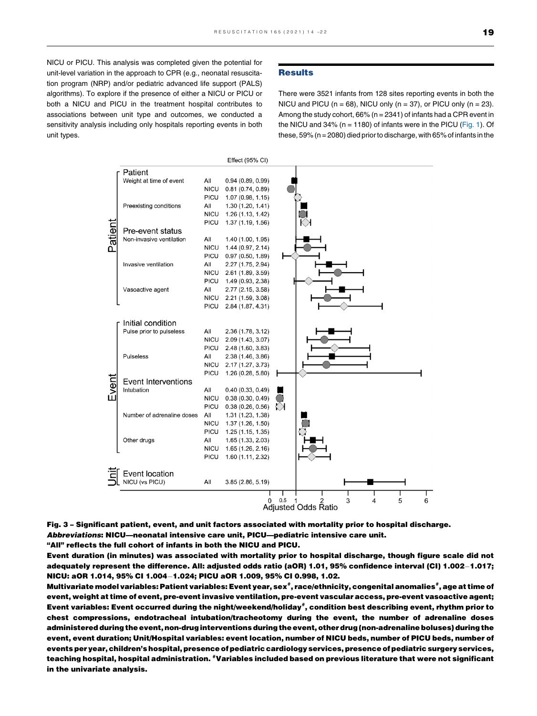<span id="page-5-0"></span>NICU or PICU. This analysis was completed given the potential for unit-level variation in the approach to CPR (e.g., neonatal resuscitation program (NRP) and/or pediatric advanced life support (PALS) algorithms). To explore if the presence of either a NICU or PICU or both a NICU and PICU in the treatment hospital contributes to associations between unit type and outcomes, we conducted a sensitivity analysis including only hospitals reporting events in both unit types.

#### Results

There were 3521 infants from 128 sites reporting events in both the NICU and PICU ( $n = 68$ ), NICU only ( $n = 37$ ), or PICU only ( $n = 23$ ). Among the study cohort,  $66\%$  (n = 2341) of infants had a CPR event in the NICU and 34% ( $n = 1180$ ) of infants were in the PICU ([Fig.](#page-2-0) 1). Of these, 59% (n = 2080) died priorto discharge, with 65% of infants in the





"All" reflects the full cohort of infants in both the NICU and PICU.

Event duration (in minutes) was associated with mortality prior to hospital discharge, though figure scale did not adequately represent the difference. All: adjusted odds ratio (aOR) 1.01, 95% confidence interval (CI) 1.002-1.017; NICU: aOR 1.014, 95% CI 1.004-1.024; PICU aOR 1.009, 95% CI 0.998, 1.02.

Multivariate model variables: Patient variables: Event year, sex $^*$ , race/ethnicity, congenital anomalies $^*$ , age at time of event, weight at time of event, pre-event invasive ventilation, pre-event vascular access, pre-event vasoactive agent; Event variables: Event occurred during the night/weekend/holiday<sup>#</sup>, condition best describing event, rhythm prior to chest compressions, endotracheal intubation/tracheotomy during the event, the number of adrenaline doses administered during the event, non-drug interventions during the event, other drug (non-adrenaline boluses) during the event, event duration; Unit/Hospital variables: event location, number of NICU beds, number of PICU beds, number of events per year, children's hospital, presence of pediatric cardiology services, presence of pediatric surgery services, teaching hospital, hospital administration. <sup>#</sup>Variables included based on previous literature that were not significant in the univariate analysis.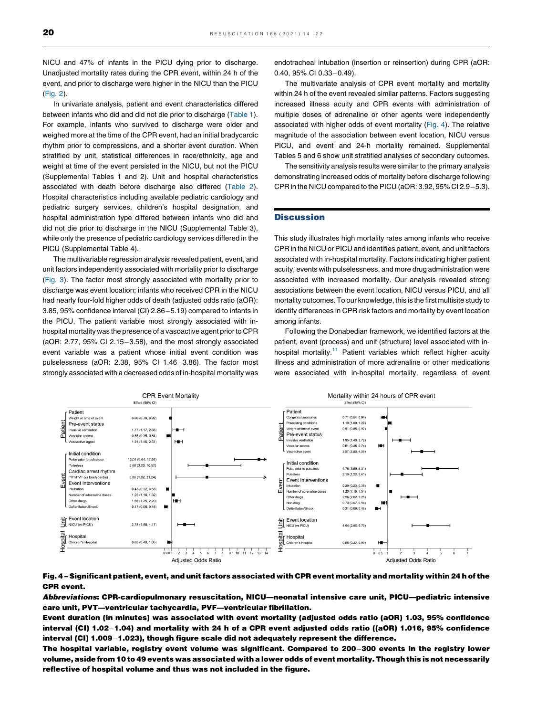NICU and 47% of infants in the PICU dying prior to discharge. Unadjusted mortality rates during the CPR event, within 24 h of the event, and prior to discharge were higher in the NICU than the PICU ([Fig.](#page-2-0) 2).

In univariate analysis, patient and event characteristics differed between infants who did and did not die prior to discharge ([Table](#page-3-0) 1). For example, infants who survived to discharge were older and weighed more at the time of the CPR event, had an initial bradycardic rhythm prior to compressions, and a shorter event duration. When stratified by unit, statistical differences in race/ethnicity, age and weight at time of the event persisted in the NICU, but not the PICU (Supplemental Tables 1 and 2). Unit and hospital characteristics associated with death before discharge also differed [\(Table](#page-4-0) 2). Hospital characteristics including available pediatric cardiology and pediatric surgery services, children's hospital designation, and hospital administration type differed between infants who did and did not die prior to discharge in the NICU (Supplemental Table 3), while only the presence of pediatric cardiology services differed in the PICU (Supplemental Table 4).

The multivariable regression analysis revealed patient, event, and unit factors independently associated with mortality prior to discharge ([Fig.](#page-5-0) 3). The factor most strongly associated with mortality prior to discharge was event location; infants who received CPR in the NICU had nearly four-fold higher odds of death (adjusted odds ratio (aOR): 3.85, 95% confidence interval (CI) 2.86-5.19) compared to infants in the PICU. The patient variable most strongly associated with inhospital mortality was the presence of a vasoactive agent prior to CPR (aOR:  $2.77$ ,  $95\%$  CI  $2.15-3.58$ ), and the most strongly associated event variable was a patient whose initial event condition was pulselessness (aOR:  $2.38$ ,  $95\%$  Cl  $1.46-3.86$ ). The factor most strongly associated with a decreased odds of in-hospital mortality was

endotracheal intubation (insertion or reinsertion) during CPR (aOR:  $0.40, 95\%$  CI  $0.33 - 0.49$ ).

The multivariate analysis of CPR event mortality and mortality within 24 h of the event revealed similar patterns. Factors suggesting increased illness acuity and CPR events with administration of multiple doses of adrenaline or other agents were independently associated with higher odds of event mortality (Fig. 4). The relative magnitude of the association between event location, NICU versus PICU, and event and 24-h mortality remained. Supplemental Tables 5 and 6 show unit stratified analyses of secondary outcomes.

The sensitivity analysis results were similar to the primary analysis demonstrating increased odds of mortality before discharge following CPR in the NICU compared to the PICU (aOR:  $3.92, 95\%$  CI  $2.9-5.3$ ).

#### **Discussion**

This study illustrates high mortality rates among infants who receive CPR in the NICU or PICU and identifies patient, event, and unit factors associated with in-hospital mortality. Factors indicating higher patient acuity, events with pulselessness, and more drug administration were associated with increased mortality. Our analysis revealed strong associations between the event location, NICU versus PICU, and all mortality outcomes. To our knowledge, this is the first multisite study to identify differences in CPR risk factors and mortality by event location among infants.

Following the Donabedian framework, we identified factors at the patient, event (process) and unit (structure) level associated with inhospital mortality.<sup>11</sup> Patient variables which reflect higher acuity illness and administration of more adrenaline or other medications were associated with in-hospital mortality, regardless of event





Abbreviations: CPR-cardiopulmonary resuscitation, NICU—neonatal intensive care unit, PICU—pediatric intensive care unit, PVT—ventricular tachycardia, PVF—ventricular fibrillation.

Event duration (in minutes) was associated with event mortality (adjusted odds ratio (aOR) 1.03, 95% confidence interval (CI) 1.02-1.04) and mortality with 24 h of a CPR event adjusted odds ratio ((aOR) 1.016, 95% confidence interval (CI) 1.009-1.023), though figure scale did not adequately represent the difference.

The hospital variable, registry event volume was significant. Compared to 200-300 events in the registry lower volume, aside from 10 to 49 events was associated with a lower odds of event mortality. Though this is not necessarily reflective of hospital volume and thus was not included in the figure.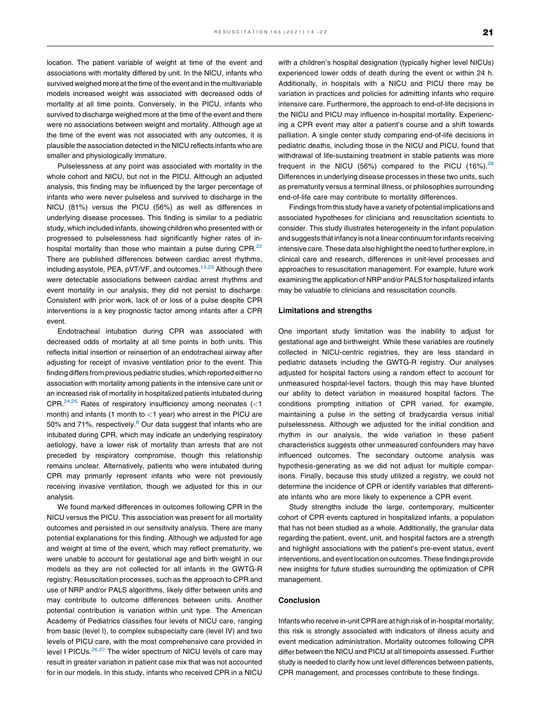location. The patient variable of weight at time of the event and associations with mortality differed by unit. In the NICU, infants who survived weighed more at the time of the event and in the multivariable models increased weight was associated with decreased odds of mortality at all time points. Conversely, in the PICU, infants who survived to discharge weighed more at the time of the event and there were no associations between weight and mortality. Although age at the time of the event was not associated with any outcomes, it is plausible the association detected in the NICU reflects infants who are smaller and physiologically immature.

Pulselessness at any point was associated with mortality in the whole cohort and NICU, but not in the PICU. Although an adjusted analysis, this finding may be influenced by the larger percentage of infants who were never pulseless and survived to discharge in the NICU (81%) versus the PICU (56%) as well as differences in underlying disease processes. This finding is similar to a pediatric study, which included infants, showing children who presented with or progressed to pulselessness had significantly higher rates of in-hospital mortality than those who maintain a pulse during CPR.<sup>[22](#page-8-0)</sup> There are published differences between cardiac arrest rhythms, including asystole, PEA, pVT/VF, and outcomes.<sup>13,23</sup> [Although](#page-8-0) there were detectable associations between cardiac arrest rhythms and event mortality in our analysis, they did not persist to discharge. Consistent with prior work, lack of or loss of a pulse despite CPR interventions is a key prognostic factor among infants after a CPR event.

Endotracheal intubation during CPR was associated with decreased odds of mortality at all time points in both units. This reflects initial insertion or reinsertion of an endotracheal airway after adjusting for receipt of invasive ventilation prior to the event. This finding differs from previous pediatric studies, which reported either no association with mortality among patients in the intensive care unit or an increased risk of mortality in hospitalized patients intubated during CPR.<sup>24,25</sup> Rates of respiratory [insufficiency](#page-8-0) among neonates  $\left($  < 1 month) and infants (1 month to  $<$  1 year) who arrest in the PICU are 50% and 71%, respectively. $8$  Our data suggest that infants who are intubated during CPR, which may indicate an underlying respiratory aetiology, have a lower risk of mortality than arrests that are not preceded by respiratory compromise, though this relationship remains unclear. Alternatively, patients who were intubated during CPR may primarily represent infants who were not previously receiving invasive ventilation, though we adjusted for this in our analysis.

We found marked differences in outcomes following CPR in the NICU versus the PICU. This association was present for all mortality outcomes and persisted in our sensitivity analysis. There are many potential explanations for this finding. Although we adjusted for age and weight at time of the event, which may reflect prematurity, we were unable to account for gestational age and birth weight in our models as they are not collected for all infants in the GWTG-R registry. Resuscitation processes, such as the approach to CPR and use of NRP and/or PALS algorithms, likely differ between units and may contribute to outcome differences between units. Another potential contribution is variation within unit type. The American Academy of Pediatrics classifies four levels of NICU care, ranging from basic (level I), to complex subspecialty care (level IV) and two levels of PICU care, with the most comprehensive care provided in level I PICUs.<sup>26,27</sup> The wider [spectrum](#page-8-0) of NICU levels of care may result in greater variation in patient case mix that was not accounted for in our models. In this study, infants who received CPR in a NICU

with a children's hospital designation (typically higher level NICUs) experienced lower odds of death during the event or within 24 h. Additionally, in hospitals with a NICU and PICU there may be variation in practices and policies for admitting infants who require intensive care. Furthermore, the approach to end-of-life decisions in the NICU and PICU may influence in-hospital mortality. Experiencing a CPR event may alter a patient's course and a shift towards palliation. A single center study comparing end-of-life decisions in pediatric deaths, including those in the NICU and PICU, found that withdrawal of life-sustaining treatment in stable patients was more frequent in the NICU (56%) compared to the PICU (16%).<sup>[28](#page-8-0)</sup> Differences in underlying disease processes in these two units, such as prematurity versus a terminal illness, or philosophies surrounding end-of-life care may contribute to mortality differences.

Findings from this study have a variety of potential implications and associated hypotheses for clinicians and resuscitation scientists to consider. This study illustrates heterogeneity in the infant population and suggests that infancy is not a linear continuum forinfants receiving intensive care. These data also highlight the need to further explore, in clinical care and research, differences in unit-level processes and approaches to resuscitation management. For example, future work examining the application of NRP and/or PALS for hospitalized infants may be valuable to clinicians and resuscitation councils.

#### Limitations and strengths

One important study limitation was the inability to adjust for gestational age and birthweight. While these variables are routinely collected in NICU-centric registries, they are less standard in pediatric datasets including the GWTG-R registry. Our analyses adjusted for hospital factors using a random effect to account for unmeasured hospital-level factors, though this may have blunted our ability to detect variation in measured hospital factors. The conditions prompting initiation of CPR varied, for example, maintaining a pulse in the setting of bradycardia versus initial pulselessness. Although we adjusted for the initial condition and rhythm in our analysis, the wide variation in these patient characteristics suggests other unmeasured confounders may have influenced outcomes. The secondary outcome analysis was hypothesis-generating as we did not adjust for multiple comparisons. Finally, because this study utilized a registry, we could not determine the incidence of CPR or identify variables that differentiate infants who are more likely to experience a CPR event.

Study strengths include the large, contemporary, multicenter cohort of CPR events captured in hospitalized infants, a population that has not been studied as a whole. Additionally, the granular data regarding the patient, event, unit, and hospital factors are a strength and highlight associations with the patient's pre-event status, event interventions, and event location on outcomes. These findings provide new insights for future studies surrounding the optimization of CPR management.

#### Conclusion

Infants who receive in-unit CPR are at high risk of in-hospital mortality; this risk is strongly associated with indicators of illness acuity and event medication administration. Mortality outcomes following CPR differ between the NICU and PICU at all timepoints assessed. Further study is needed to clarify how unit level differences between patients, CPR management, and processes contribute to these findings.